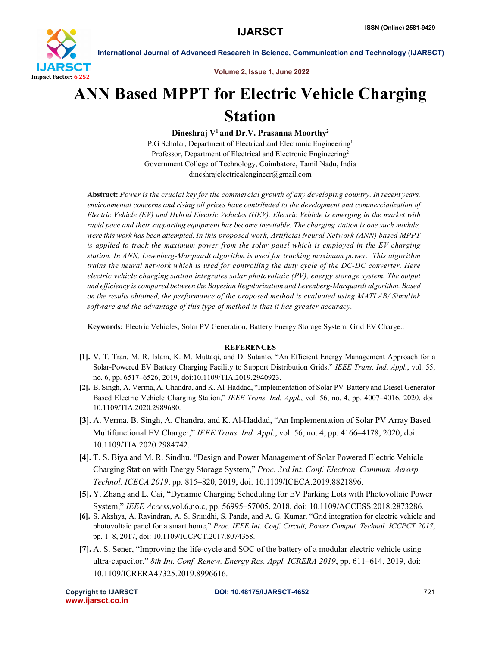

International Journal of Advanced Research in Science, Communication and Technology (IJARSCT)

Volume 2, Issue 1, June 2022

## ANN Based MPPT for Electric Vehicle Charging Station

Dineshraj  $V^1$  and Dr.V. Prasanna Moorthy<sup>2</sup>

P.G Scholar, Department of Electrical and Electronic Engineering<sup>1</sup> Professor, Department of Electrical and Electronic Engineering<sup>2</sup> Government College of Technology, Coimbatore, Tamil Nadu, India dineshrajelectricalengineer@gmail.com

Abstract: *Power is the crucial key for the commercial growth of any developing country. In recent years, environmental concerns and rising oil prices have contributed to the development and commercialization of Electric Vehicle (EV) and Hybrid Electric Vehicles (HEV). Electric Vehicle is emerging in the market with rapid pace and their supporting equipment has become inevitable. The charging station is one such module, were this work has been attempted. In this proposed work, Artificial Neural Network (ANN) based MPPT is applied to track the maximum power from the solar panel which is employed in the EV charging station. In ANN, Levenberg-Marquardt algorithm is used for tracking maximum power. This algorithm trains the neural network which is used for controlling the duty cycle of the DC-DC converter. Here electric vehicle charging station integrates solar photovoltaic (PV), energy storage system. The output and efficiency is compared between the Bayesian Regularization and Levenberg-Marquardt algorithm. Based on the results obtained, the performance of the proposed method is evaluated using MATLAB/ Simulink software and the advantage of this type of method is that it has greater accuracy.*

Keywords: Electric Vehicles, Solar PV Generation, Battery Energy Storage System, Grid EV Charge..

## **REFERENCES**

- [1]. V. T. Tran, M. R. Islam, K. M. Muttaqi, and D. Sutanto, "An Efficient Energy Management Approach for a Solar-Powered EV Battery Charging Facility to Support Distribution Grids," *IEEE Trans. Ind. Appl.*, vol. 55, no. 6, pp. 6517–6526, 2019, doi:10.1109/TIA.2019.2940923.
- [2]. B. Singh, A. Verma, A. Chandra, and K. Al-Haddad, "Implementation of Solar PV-Battery and Diesel Generator Based Electric Vehicle Charging Station," *IEEE Trans. Ind. Appl.*, vol. 56, no. 4, pp. 4007–4016, 2020, doi: 10.1109/TIA.2020.2989680.
- [3]. A. Verma, B. Singh, A. Chandra, and K. Al-Haddad, "An Implementation of Solar PV Array Based Multifunctional EV Charger," *IEEE Trans. Ind. Appl.*, vol. 56, no. 4, pp. 4166–4178, 2020, doi: 10.1109/TIA.2020.2984742.
- [4]. T. S. Biya and M. R. Sindhu, "Design and Power Management of Solar Powered Electric Vehicle Charging Station with Energy Storage System," *Proc. 3rd Int. Conf. Electron. Commun. Aerosp. Technol. ICECA 2019*, pp. 815–820, 2019, doi: 10.1109/ICECA.2019.8821896.
- [5]. Y. Zhang and L. Cai, "Dynamic Charging Scheduling for EV Parking Lots with Photovoltaic Power System," *IEEE Access*,vol.6,no.c, pp. 56995–57005, 2018, doi: 10.1109/ACCESS.2018.2873286.
- [6]. S. Akshya, A. Ravindran, A. S. Srinidhi, S. Panda, and A. G. Kumar, "Grid integration for electric vehicle and photovoltaic panel for a smart home," *Proc. IEEE Int. Conf. Circuit, Power Comput. Technol. ICCPCT 2017*, pp. 1–8, 2017, doi: 10.1109/ICCPCT.2017.8074358.
- [7]. A. S. Sener, "Improving the life-cycle and SOC of the battery of a modular electric vehicle using ultra-capacitor," *8th Int. Conf. Renew. Energy Res. Appl. ICRERA 2019*, pp. 611–614, 2019, doi: 10.1109/ICRERA47325.2019.8996616.